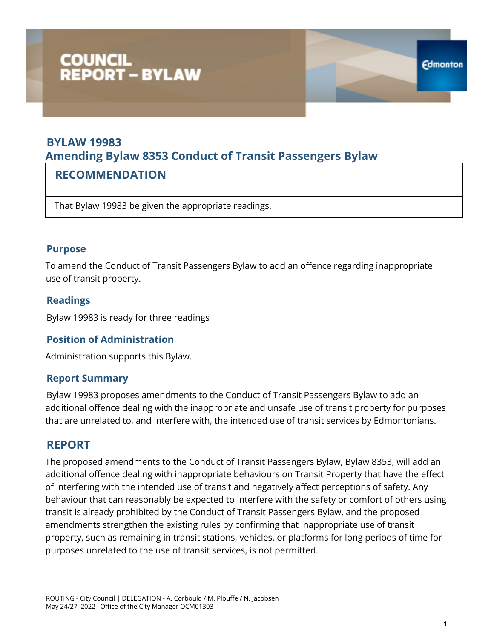# COUNCIL<br>REPORT – BYLAW

# **BYLAW 19983 Amending Bylaw 8353 Conduct of Transit Passengers Bylaw**

## **RECOMMENDATION**

That Bylaw 19983 be given the appropriate readings.

#### **Purpose**

To amend the Conduct of Transit Passengers Bylaw to add an offence regarding inappropriate use of transit property.

#### **Readings**

Bylaw 19983 is ready for three readings

#### **Position of Administration**

Administration supports this Bylaw.

#### **Report Summary**

Bylaw 19983 proposes amendments to the Conduct of Transit Passengers Bylaw to add an additional offence dealing with the inappropriate and unsafe use of transit property for purposes that are unrelated to, and interfere with, the intended use of transit services by Edmontonians.

#### **REPORT**

The proposed amendments to the Conduct of Transit Passengers Bylaw, Bylaw 8353, will add an additional offence dealing with inappropriate behaviours on Transit Property that have the effect of interfering with the intended use of transit and negatively affect perceptions of safety. Any behaviour that can reasonably be expected to interfere with the safety or comfort of others using transit is already prohibited by the Conduct of Transit Passengers Bylaw, and the proposed amendments strengthen the existing rules by confirming that inappropriate use of transit property, such as remaining in transit stations, vehicles, or platforms for long periods of time for purposes unrelated to the use of transit services, is not permitted.

**Edmonton**